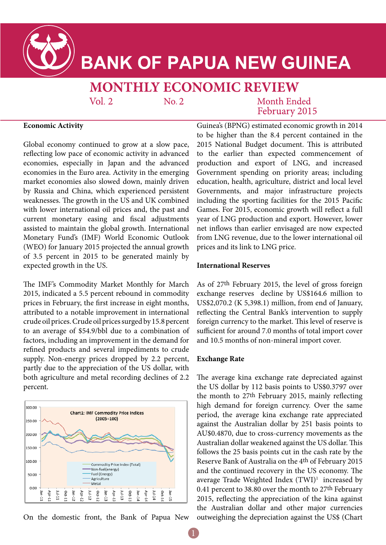

# **BANK OF PAPUA NEW GUINEA**

# **MONTHLY ECONOMIC REVIEW**

 $Vol.2$ 

 $No. 2$ 

### Month Ended February 2015

#### **Economic Activity**

Global economy continued to grow at a slow pace, reflecting low pace of economic activity in advanced economies, especially in Japan and the advanced economies in the Euro area. Activity in the emerging market economies also slowed down, mainly driven by Russia and China, which experienced persistent weaknesses. The growth in the US and UK combined with lower international oil prices and, the past and current monetary easing and fiscal adjustments assisted to maintain the global growth. International Monetary Fund's (IMF) World Economic Outlook (WEO) for January 2015 projected the annual growth of 3.5 percent in 2015 to be generated mainly by expected growth in the US.

The IMF's Commodity Market Monthly for March 2015, indicated a 5.5 percent rebound in commodity prices in February, the first increase in eight months, attributed to a notable improvement in international crude oil prices. Crude oil prices surged by 15.8 percent to an average of \$54.9/bbl due to a combination of factors, including an improvement in the demand for refined products and several impediments to crude supply. Non-energy prices dropped by 2.2 percent, partly due to the appreciation of the US dollar, with both agriculture and metal recording declines of 2.2 percent.



On the domestic front, the Bank of Papua New

Guinea's (BPNG) estimated economic growth in 2014 to be higher than the 8.4 percent contained in the 2015 National Budget document. This is attributed to the earlier than expected commencement of production and export of LNG, and increased Government spending on priority areas; including education, health, agriculture, district and local level Governments, and major infrastructure projects including the sporting facilities for the 2015 Pacific Games. For 2015, economic growth will reflect a full year of LNG production and export. However, lower net inflows than earlier envisaged are now expected from LNG revenue, due to the lower international oil prices and its link to LNG price.

#### **International Reserves**

As of 27th February 2015, the level of gross foreign exchange reserves decline by US\$164.6 million to US\$2,070.2 (K 5,398.1) million, from end of January, reflecting the Central Bank's intervention to supply foreign currency to the market. This level of reserve is sufficient for around 7.0 months of total import cover and 10.5 months of non-mineral import cover.

#### **Exchange Rate**

The average kina exchange rate depreciated against the US dollar by 112 basis points to US\$0.3797 over the month to 27th February 2015, mainly reflecting high demand for foreign currency. Over the same period, the average kina exchange rate appreciated against the Australian dollar by 251 basis points to AU\$0.4870, due to cross-currency movements as the Australian dollar weakened against the US dollar. This follows the 25 basis points cut in the cash rate by the Reserve Bank of Australia on the 4th of February 2015 and the continued recovery in the US economy. The average Trade Weighted Index (TWI)<sup>1</sup> increased by 0.41 percent to 38.80 over the month to 27th February 2015, reflecting the appreciation of the kina against the Australian dollar and other major currencies outweighing the depreciation against the US\$ (Chart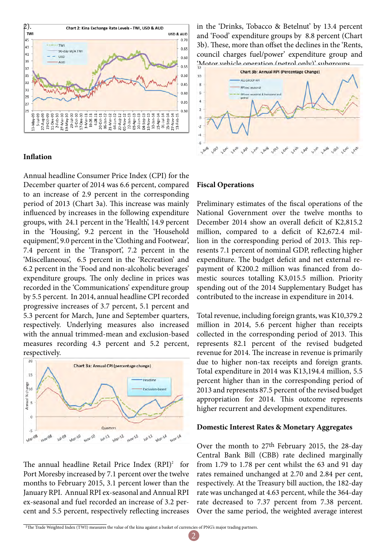

#### **Inflation**

Annual headline Consumer Price Index (CPI) for the December quarter of 2014 was 6.6 percent, compared to an increase of 2.9 percent in the corresponding period of 2013 (Chart 3a). This increase was mainly influenced by increases in the following expenditure groups, with 24.1 percent in the 'Health', 14.9 percent in the 'Housing', 9.2 percent in the 'Household equipment', 9.0 percent in the 'Clothing and Footwear', 7.4 percent in the 'Transport', 7.2 percent in the 'Miscellaneous', 6.5 percent in the 'Recreation' and 6.2 percent in the 'Food and non-alcoholic beverages' expenditure groups. The only decline in prices was recorded in the 'Communications' expenditure group by 5.5 percent. In 2014, annual headline CPI recorded progressive increases of 3.7 percent, 5.1 percent and 5.3 percent for March, June and September quarters, respectively. Underlying measures also increased with the annual trimmed-mean and exclusion-based measures recording 4.3 percent and 5.2 percent, respectively.



The annual headline Retail Price Index  $(RPI)^2$  for Port Moresby increased by 7.1 percent over the twelve months to February 2015, 3.1 percent lower than the January RPI. Annual RPI ex-seasonal and Annual RPI ex-seasonal and fuel recorded an increase of 3.2 percent and 5.5 percent, respectively reflecting increases

in the 'Drinks, Tobacco & Betelnut' by 13.4 percent and 'Food' expenditure groups by 8.8 percent (Chart 3b). These, more than offset the declines in the 'Rents, council charges fuel/power' expenditure group and



#### **Fiscal Operations**

Preliminary estimates of the fiscal operations of the National Government over the twelve months to December 2014 show an overall deficit of K2,815.2 million, compared to a deficit of K2,672.4 million in the corresponding period of 2013. This represents 7.1 percent of nominal GDP, reflecting higher expenditure. The budget deficit and net external repayment of K200.2 million was financed from domestic sources totalling K3,015.5 million. Priority spending out of the 2014 Supplementary Budget has contributed to the increase in expenditure in 2014.

Total revenue, including foreign grants, was K10,379.2 million in 2014, 5.6 percent higher than receipts collected in the corresponding period of 2013. This represents 82.1 percent of the revised budgeted revenue for 2014. The increase in revenue is primarily due to higher non-tax receipts and foreign grants. Total expenditure in 2014 was K13,194.4 million, 5.5 percent higher than in the corresponding period of 2013 and represents 87.5 percent of the revised budget appropriation for 2014. This outcome represents higher recurrent and development expenditures.

#### **Domestic Interest Rates & Monetary Aggregates**

Over the month to 27th February 2015, the 28-day Central Bank Bill (CBB) rate declined marginally from 1.79 to 1.78 per cent whilst the 63 and 91 day rates remained unchanged at 2.70 and 2.84 per cent, respectively. At the Treasury bill auction, the 182-day rate was unchanged at 4.63 percent, while the 364-day rate decreased to 7.37 percent from 7.38 percent. Over the same period, the weighted average interest

<sup>&</sup>lt;sup>1</sup>The Trade Weighted Index (TWI) measures the value of the kina against a basket of currencies of PNG's major trading partners.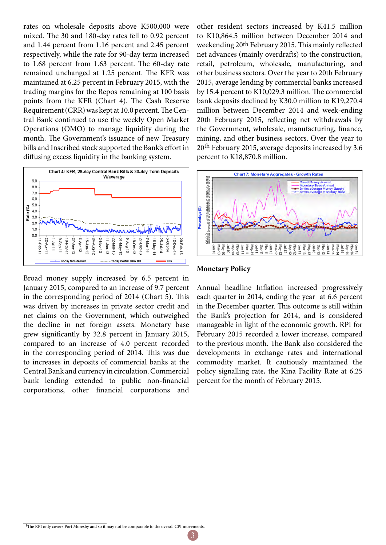rates on wholesale deposits above K500,000 were mixed. The 30 and 180-day rates fell to 0.92 percent and 1.44 percent from 1.16 percent and 2.45 percent respectively, while the rate for 90-day term increased to 1.68 percent from 1.63 percent. The 60-day rate remained unchanged at 1.25 percent. The KFR was maintained at 6.25 percent in February 2015, with the trading margins for the Repos remaining at 100 basis points from the KFR (Chart 4). The Cash Reserve Requirement (CRR) was kept at 10.0 percent. The Central Bank continued to use the weekly Open Market Operations (OMO) to manage liquidity during the month. The Government's issuance of new Treasury bills and Inscribed stock supported the Bank's effort in diffusing excess liquidity in the banking system.



Broad money supply increased by 6.5 percent in January 2015, compared to an increase of 9.7 percent in the corresponding period of 2014 (Chart 5). This was driven by increases in private sector credit and net claims on the Government, which outweighed the decline in net foreign assets. Monetary base grew significantly by 32.8 percent in January 2015, compared to an increase of 4.0 percent recorded in the corresponding period of 2014. This was due to increases in deposits of commercial banks at the Central Bank and currency in circulation. Commercial bank lending extended to public non-financial corporations, other financial corporations and other resident sectors increased by K41.5 million to K10,864.5 million between December 2014 and weekending 20th February 2015. This mainly reflected net advances (mainly overdrafts) to the construction, retail, petroleum, wholesale, manufacturing, and other business sectors. Over the year to 20th February 2015, average lending by commercial banks increased by 15.4 percent to K10,029.3 million. The commercial bank deposits declined by K30.0 million to K19,270.4 million between December 2014 and week-ending 20th February 2015, reflecting net withdrawals by the Government, wholesale, manufacturing, finance, mining, and other business sectors. Over the year to 20th February 2015, average deposits increased by 3.6 percent to K18,870.8 million.



#### **Monetary Policy**

Annual headline Inflation increased progressively each quarter in 2014, ending the year at 6.6 percent in the December quarter. This outcome is still within the Bank's projection for 2014, and is considered manageable in light of the economic growth. RPI for February 2015 recorded a lower increase, compared to the previous month. The Bank also considered the developments in exchange rates and international commodity market. It cautiously maintained the policy signalling rate, the Kina Facility Rate at 6.25 percent for the month of February 2015.

<sup>1</sup>The RPI only covers Port Moresby and so it may not be comparable to the overall CPI movements.

3